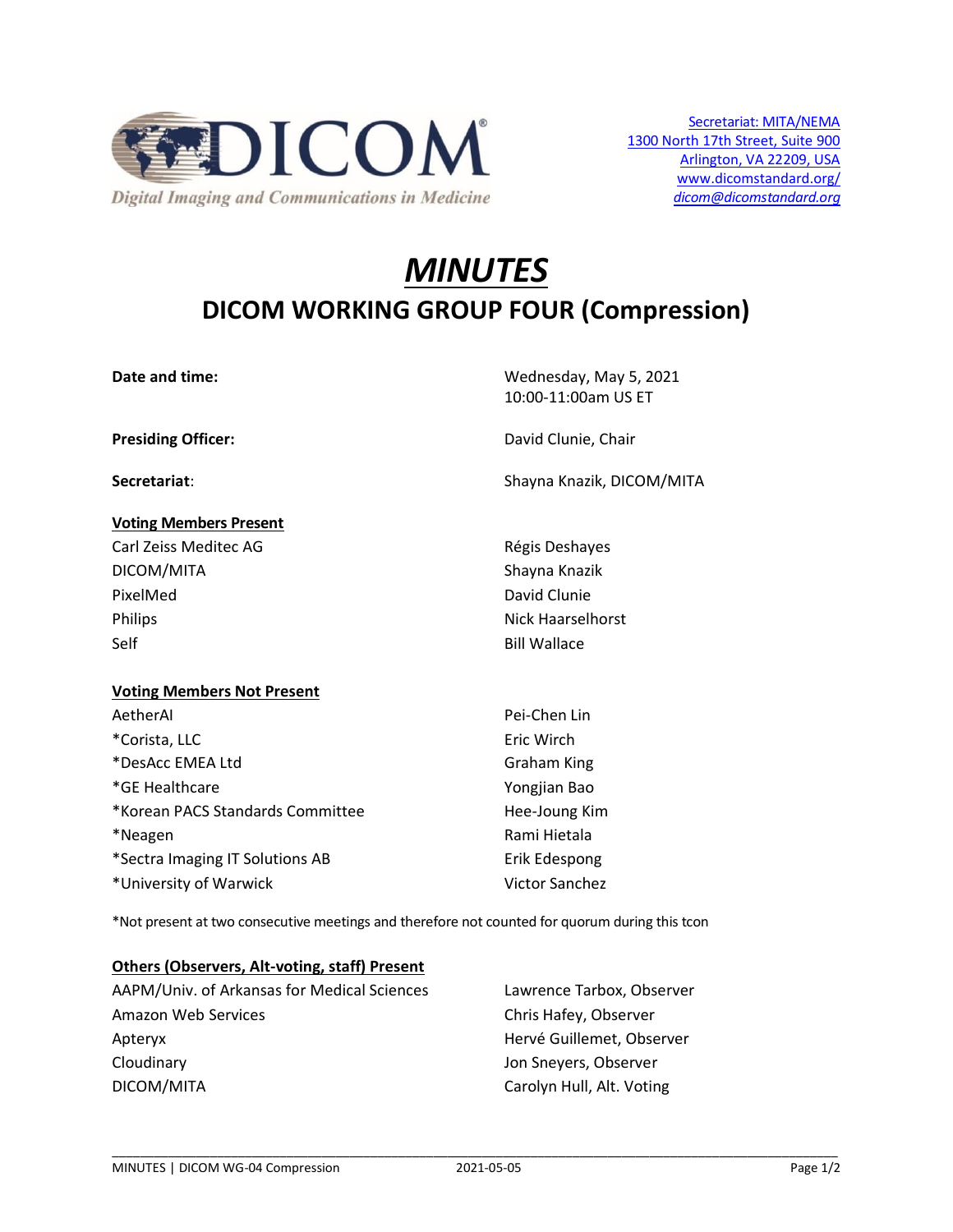

# *MINUTES* **DICOM WORKING GROUP FOUR (Compression)**

| Date and time:                    | Wednesday, May 5, 2021<br>10:00-11:00am US ET |
|-----------------------------------|-----------------------------------------------|
| <b>Presiding Officer:</b>         | David Clunie, Chair                           |
| Secretariat:                      | Shayna Knazik, DICOM/MITA                     |
| <b>Voting Members Present</b>     |                                               |
| Carl Zeiss Meditec AG             | Régis Deshayes                                |
| DICOM/MITA                        | Shayna Knazik                                 |
| PixelMed                          | David Clunie                                  |
| Philips                           | Nick Haarselhorst                             |
| Self                              | <b>Bill Wallace</b>                           |
| <b>Voting Members Not Present</b> |                                               |
| AetherAl                          | Pei-Chen Lin                                  |
| *Corista, LLC                     | Eric Wirch                                    |
| *DesAcc EMEA Ltd                  | <b>Graham King</b>                            |
| *GE Healthcare                    | Yongjian Bao                                  |
| *Korean PACS Standards Committee  | Hee-Joung Kim                                 |
| *Neagen                           | Rami Hietala                                  |
| *Sectra Imaging IT Solutions AB   | Erik Edespong                                 |
| *University of Warwick            | <b>Victor Sanchez</b>                         |

\*Not present at two consecutive meetings and therefore not counted for quorum during this tcon

## **Others (Observers, Alt-voting, staff) Present**

| AAPM/Univ. of Arkansas for Medical Sciences | Lawrence Tarbox, Observer |
|---------------------------------------------|---------------------------|
| Amazon Web Services                         | Chris Hafey, Observer     |
| Apteryx                                     | Hervé Guillemet, Observer |
| Cloudinary                                  | Jon Sneyers, Observer     |
| DICOM/MITA                                  | Carolyn Hull, Alt. Voting |

\_\_\_\_\_\_\_\_\_\_\_\_\_\_\_\_\_\_\_\_\_\_\_\_\_\_\_\_\_\_\_\_\_\_\_\_\_\_\_\_\_\_\_\_\_\_\_\_\_\_\_\_\_\_\_\_\_\_\_\_\_\_\_\_\_\_\_\_\_\_\_\_\_\_\_\_\_\_\_\_\_\_\_\_\_\_\_\_\_\_\_\_\_\_\_\_\_\_\_\_\_\_\_\_